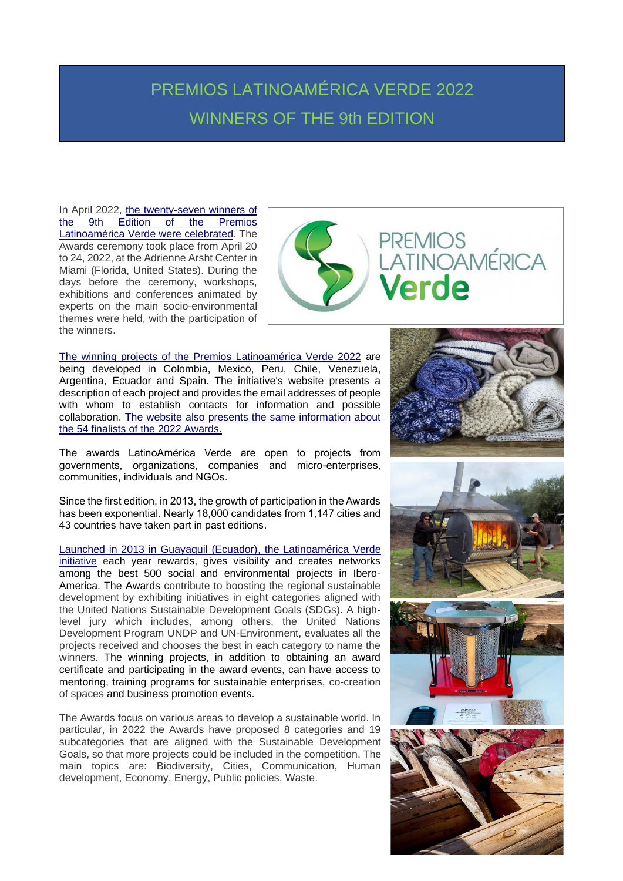## PREMIOS LATINOAMÉRICA VERDE 2022 WINNERS OF THE 9th EDITION

In April 2022, [the twenty-seven winners of](https://premiosverdes.org/en/)  [the 9th Edition of the Premios](https://premiosverdes.org/en/)  Latinoamérica [Verde were celebrated.](https://premiosverdes.org/en/) The Awards ceremony took place from April 20 to 24, 2022, at the Adrienne Arsht Center in Miami (Florida, United States). During the days before the ceremony, workshops, exhibitions and conferences animated by experts on the main socio-environmental themes were held, with the participation of the winners.



[The winning projects of the Premios Latinoamérica Verde 2022](https://premiosverdes.org/en/winners-2022/) are being developed in Colombia, Mexico, Peru, Chile, Venezuela, Argentina, Ecuador and Spain. The initiative's website presents a description of each project and provides the email addresses of people with whom to establish contacts for information and possible collaboration. [The website also presents the same information about](https://premiosverdes.org/en/finalist-2022/)  [the 54 finalists of the 2022 Awards.](https://premiosverdes.org/en/finalist-2022/)

The awards LatinoAmérica Verde are open to projects from governments, organizations, companies and micro-enterprises, communities, individuals and NGOs.

Since the first edition, in 2013, the growth of participation in the Awards has been exponential. Nearly 18,000 candidates from 1,147 cities and 43 countries have taken part in past editions.

[Launched in 2013 in Guayaquil \(Ecuador\), the Latinoamérica Verde](https://premiosverdes.org/es/los-premios/) [initiative](https://premiosverdes.org/es/los-premios/) each year rewards, gives visibility and creates networks among the best 500 social and environmental projects in Ibero-America. The Awards contribute to boosting the regional sustainable development by exhibiting initiatives in eight categories aligned with the United Nations Sustainable Development Goals (SDGs). A highlevel jury which includes, among others, the United Nations Development Program UNDP and UN-Environment, evaluates all the projects received and chooses the best in each category to name the winners. The winning projects, in addition to obtaining an award certificate and participating in the award events, can have access to mentoring, training programs for sustainable enterprises, co-creation of spaces and business promotion events.

The Awards focus on various areas to develop a sustainable world. In particular, in 2022 the Awards have proposed 8 categories and 19 subcategories that are aligned with the Sustainable Development Goals, so that more projects could be included in the competition. The main topics are: Biodiversity, Cities, Communication, Human development, Economy, Energy, Public policies, Waste.